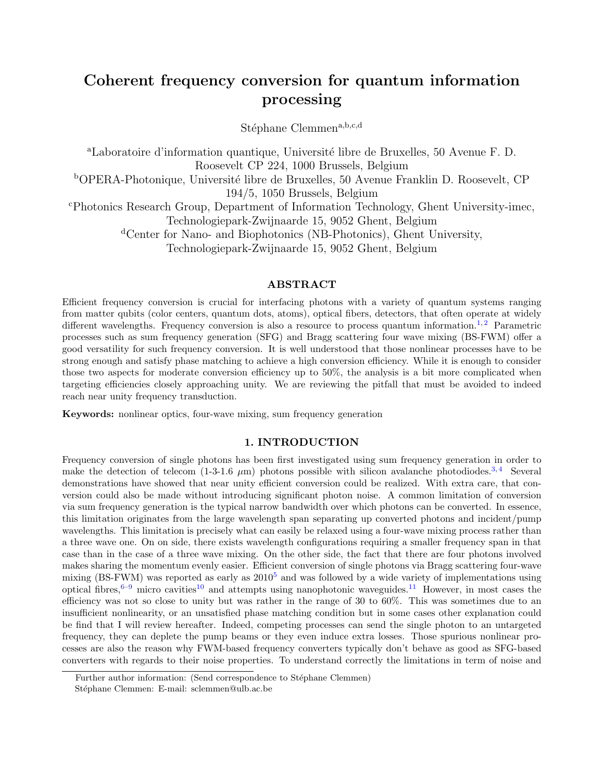# Coherent frequency conversion for quantum information processing

Stéphane Clemmen<sup>a,b,c,d</sup>

<sup>a</sup>Laboratoire d'information quantique, Université libre de Bruxelles, 50 Avenue F. D. Roosevelt CP 224, 1000 Brussels, Belgium <sup>b</sup>OPERA-Photonique, Université libre de Bruxelles, 50 Avenue Franklin D. Roosevelt, CP 194/5, 1050 Brussels, Belgium <sup>c</sup>Photonics Research Group, Department of Information Technology, Ghent University-imec, Technologiepark-Zwijnaarde 15, 9052 Ghent, Belgium <sup>d</sup>Center for Nano- and Biophotonics (NB-Photonics), Ghent University, Technologiepark-Zwijnaarde 15, 9052 Ghent, Belgium

# ABSTRACT

Efficient frequency conversion is crucial for interfacing photons with a variety of quantum systems ranging from matter qubits (color centers, quantum dots, atoms), optical fibers, detectors, that often operate at widely different wavelengths. Frequency conversion is also a resource to process quantum information.<sup>[1,](#page-5-0)[2](#page-5-1)</sup> Parametric processes such as sum frequency generation (SFG) and Bragg scattering four wave mixing (BS-FWM) offer a good versatility for such frequency conversion. It is well understood that those nonlinear processes have to be strong enough and satisfy phase matching to achieve a high conversion efficiency. While it is enough to consider those two aspects for moderate conversion efficiency up to 50%, the analysis is a bit more complicated when targeting efficiencies closely approaching unity. We are reviewing the pitfall that must be avoided to indeed reach near unity frequency transduction.

Keywords: nonlinear optics, four-wave mixing, sum frequency generation

# 1. INTRODUCTION

Frequency conversion of single photons has been first investigated using sum frequency generation in order to make the detection of telecom (1-3-1.6  $\mu$ m) photons possible with silicon avalanche photodiodes.<sup>[3,](#page-5-2)[4](#page-5-3)</sup> Several demonstrations have showed that near unity efficient conversion could be realized. With extra care, that conversion could also be made without introducing significant photon noise. A common limitation of conversion via sum frequency generation is the typical narrow bandwidth over which photons can be converted. In essence, this limitation originates from the large wavelength span separating up converted photons and incident/pump wavelengths. This limitation is precisely what can easily be relaxed using a four-wave mixing process rather than a three wave one. On on side, there exists wavelength configurations requiring a smaller frequency span in that case than in the case of a three wave mixing. On the other side, the fact that there are four photons involved makes sharing the momentum evenly easier. Efficient conversion of single photons via Bragg scattering four-wave mixing (BS-FWM) was reported as early as  $2010^5$  $2010^5$  and was followed by a wide variety of implementations using optical fibres, $6-9$  $6-9$  micro cavities<sup>[10](#page-5-7)</sup> and attempts using nanophotonic waveguides.<sup>[11](#page-5-8)</sup> However, in most cases the efficiency was not so close to unity but was rather in the range of 30 to 60%. This was sometimes due to an insufficient nonlinearity, or an unsatisfied phase matching condition but in some cases other explanation could be find that I will review hereafter. Indeed, competing processes can send the single photon to an untargeted frequency, they can deplete the pump beams or they even induce extra losses. Those spurious nonlinear processes are also the reason why FWM-based frequency converters typically don't behave as good as SFG-based converters with regards to their noise properties. To understand correctly the limitations in term of noise and

Further author information: (Send correspondence to Stéphane Clemmen)

Stéphane Clemmen: E-mail: sclemmen@ulb.ac.be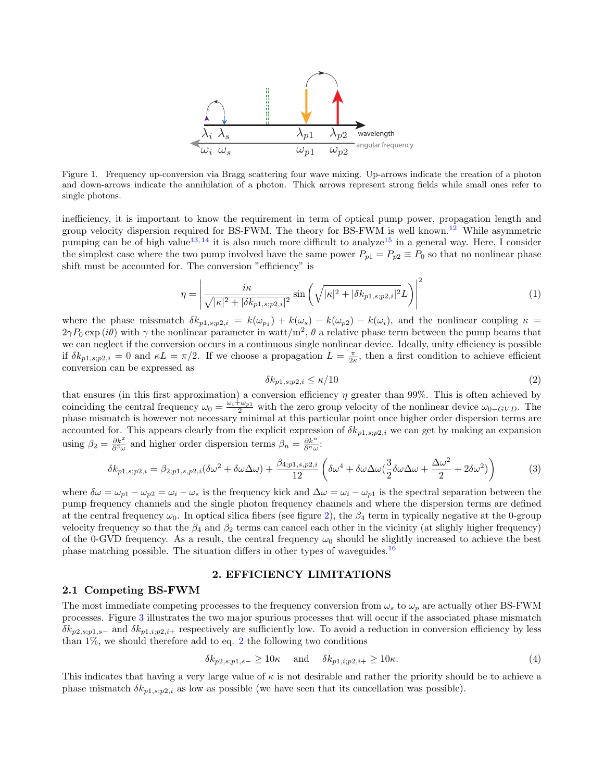

Figure 1. Frequency up-conversion via Bragg scattering four wave mixing. Up-arrows indicate the creation of a photon and down-arrows indicate the annihilation of a photon. Thick arrows represent strong fields while small ones refer to single photons.

inefficiency, it is important to know the requirement in term of optical pump power, propagation length and group velocity dispersion required for BS-FWM. The theory for BS-FWM is well known.<sup>[12](#page-5-9)</sup> While asymmetric pumping can be of high value<sup>[13,](#page-5-10) [14](#page-5-11)</sup> it is also much more difficult to analyze<sup>[15](#page-6-0)</sup> in a general way. Here, I consider the simplest case where the two pump involved have the same power  $P_{p1} = P_{p2} \equiv P_0$  so that no nonlinear phase shift must be accounted for. The conversion "efficiency" is

$$
\eta = \left| \frac{i\kappa}{\sqrt{|\kappa|^2 + |\delta k_{p1,s;p2,i}|^2}} \sin\left(\sqrt{|\kappa|^2 + |\delta k_{p1,s;p2,i}|^2} L\right) \right|^2 \tag{1}
$$

where the phase missmatch  $\delta k_{p1,s;p2,i} = k(\omega_{p1}) + k(\omega_s) - k(\omega_{p2}) - k(\omega_i)$ , and the nonlinear coupling  $\kappa =$  $2\gamma P_0 \exp(i\theta)$  with  $\gamma$  the nonlinear parameter in watt/m<sup>2</sup>,  $\theta$  a relative phase term between the pump beams that we can neglect if the conversion occurs in a continuous single nonlinear device. Ideally, unity efficiency is possible if  $\delta k_{p1,s;p2,i} = 0$  and  $\kappa L = \pi/2$ . If we choose a propagation  $L = \frac{\pi}{2\kappa}$ , then a first condition to achieve efficient conversion can be expressed as

<span id="page-1-0"></span>
$$
\delta k_{p1,s;p2,i} \le \kappa/10\tag{2}
$$

that ensures (in this first approximation) a conversion efficiency  $\eta$  greater than 99%. This is often achieved by coinciding the central frequency  $\omega_0 = \frac{\omega_i + \omega_{p1}}{2}$  with the zero group velocity of the nonlinear device  $\omega_{0-GVD}$ . The phase mismatch is however not necessary minimal at this particular point once higher order dispersion terms are accounted for. This appears clearly from the explicit expression of  $\delta k_{p1,s;p2,i}$  we can get by making an expansion using  $\beta_2 = \frac{\partial k^2}{\partial^2 \omega}$  and higher order dispersion terms  $\beta_n = \frac{\partial k^n}{\partial^n \omega}$ :

$$
\delta k_{p1,s;p2,i} = \beta_{2;p1,s,p2,i} (\delta \omega^2 + \delta \omega \Delta \omega) + \frac{\beta_{4;p1,s,p2,i}}{12} \left( \delta \omega^4 + \delta \omega \Delta \omega (\frac{3}{2} \delta \omega \Delta \omega + \frac{\Delta \omega^2}{2} + 2 \delta \omega^2) \right)
$$
(3)

where  $\delta\omega = \omega_{p1} - \omega_{p2} = \omega_i - \omega_s$  is the frequency kick and  $\Delta\omega = \omega_i - \omega_{p1}$  is the spectral separation between the pump frequency channels and the single photon frequency channels and where the dispersion terms are defined at the central frequency  $\omega_0$ . In optical silica fibers (see figure [2\)](#page-2-0), the  $\beta_4$  term in typically negative at the 0-group velocity frequency so that the  $\beta_4$  and  $\beta_2$  terms can cancel each other in the vicinity (at slighly higher frequency) of the 0-GVD frequency. As a result, the central frequency  $\omega_0$  should be slightly increased to achieve the best phase matching possible. The situation differs in other types of waveguides.<sup>[16](#page-6-1)</sup>

## 2. EFFICIENCY LIMITATIONS

# 2.1 Competing BS-FWM

The most immediate competing processes to the frequency conversion from  $\omega_s$  to  $\omega_p$  are actually other BS-FWM processes. Figure [3](#page-2-1) illustrates the two major spurious processes that will occur if the associated phase mismatch  $\delta k_{p2,s,p1,s-}$  and  $\delta k_{p1,i,p2,i+}$  respectively are sufficiently low. To avoid a reduction in conversion efficiency by less than  $1\%$ , we should therefore add to eq. [2](#page-1-0) the following two conditions

<span id="page-1-1"></span>
$$
\delta k_{p2,s;p1,s-} \ge 10\kappa \quad \text{and} \quad \delta k_{p1,i;p2,i+} \ge 10\kappa. \tag{4}
$$

This indicates that having a very large value of  $\kappa$  is not desirable and rather the priority should be to achieve a phase mismatch  $\delta k_{p1,s;p2,i}$  as low as possible (we have seen that its cancellation was possible).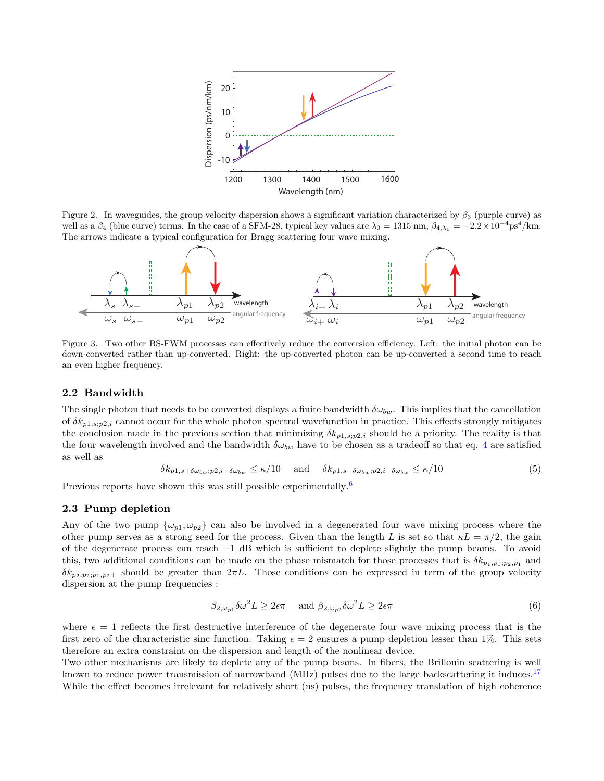

<span id="page-2-0"></span>Figure 2. In waveguides, the group velocity dispersion shows a significant variation characterized by  $\beta_3$  (purple curve) as well as a  $\beta_4$  (blue curve) terms. In the case of a SFM-28, typical key values are  $\lambda_0 = 1315$  nm,  $\beta_{4,\lambda_0} = -2.2 \times 10^{-4}$  ps<sup>4</sup>/km. The arrows indicate a typical configuration for Bragg scattering four wave mixing.



<span id="page-2-1"></span>Figure 3. Two other BS-FWM processes can effectively reduce the conversion efficiency. Left: the initial photon can be down-converted rather than up-converted. Right: the up-converted photon can be up-converted a second time to reach an even higher frequency.

# 2.2 Bandwidth

The single photon that needs to be converted displays a finite bandwidth  $\delta\omega_{bw}$ . This implies that the cancellation of  $\delta k_{p1,s;p2,i}$  cannot occur for the whole photon spectral wavefunction in practice. This effects strongly mitigates the conclusion made in the previous section that minimizing  $\delta k_{p1,s,p2,i}$  should be a priority. The reality is that the four wavelength involved and the bandwidth  $\delta\omega_{bw}$  have to be chosen as a tradeoff so that eq. [4](#page-1-1) are satisfied as well as

$$
\delta k_{p1,s+\delta\omega_{bw};p2,i+\delta\omega_{bw}} \le \kappa/10 \quad \text{and} \quad \delta k_{p1,s-\delta\omega_{bw};p2,i-\delta\omega_{bw}} \le \kappa/10 \tag{5}
$$

Previous reports have shown this was still possible experimentally.<sup>[6](#page-5-5)</sup>

## 2.3 Pump depletion

Any of the two pump  $\{\omega_{p1}, \omega_{p2}\}$  can also be involved in a degenerated four wave mixing process where the other pump serves as a strong seed for the process. Given than the length L is set so that  $\kappa L = \pi/2$ , the gain of the degenerate process can reach −1 dB which is sufficient to deplete slightly the pump beams. To avoid this, two additional conditions can be made on the phase mismatch for those processes that is  $\delta k_{p_1,p_1;p_2,p_1}$  and  $\delta k_{p_2,p_2;p_1,p_2+}$  should be greater than  $2\pi L$ . Those conditions can be expressed in term of the group velocity dispersion at the pump frequencies :

<span id="page-2-2"></span>
$$
\beta_{2,\omega_{p1}}\delta\omega^2 L \ge 2\epsilon\pi \quad \text{and } \beta_{2,\omega_{p2}}\delta\omega^2 L \ge 2\epsilon\pi
$$
 (6)

where  $\epsilon = 1$  reflects the first destructive interference of the degenerate four wave mixing process that is the first zero of the characteristic sinc function. Taking  $\epsilon = 2$  ensures a pump depletion lesser than 1%. This sets therefore an extra constraint on the dispersion and length of the nonlinear device.

Two other mechanisms are likely to deplete any of the pump beams. In fibers, the Brillouin scattering is well known to reduce power transmission of narrowband (MHz) pulses due to the large backscattering it induces.<sup>[17](#page-6-2)</sup> While the effect becomes irrelevant for relatively short (ns) pulses, the frequency translation of high coherence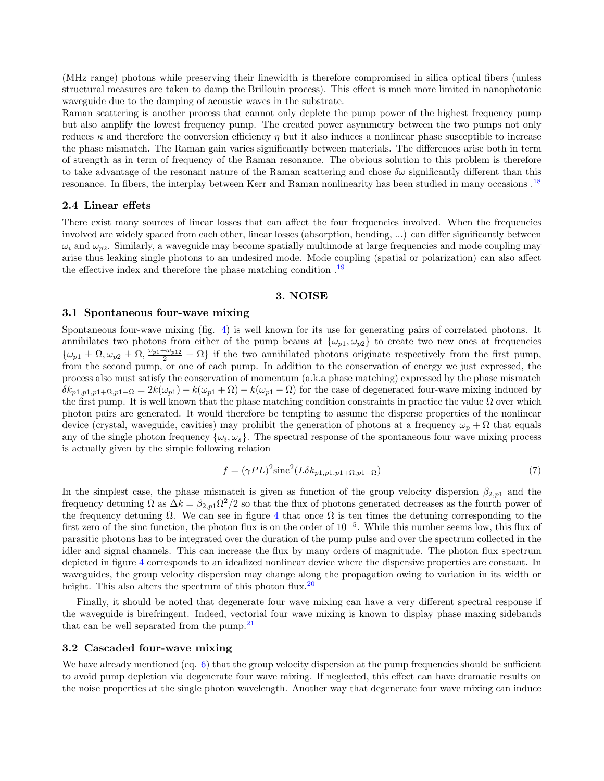(MHz range) photons while preserving their linewidth is therefore compromised in silica optical fibers (unless structural measures are taken to damp the Brillouin process). This effect is much more limited in nanophotonic waveguide due to the damping of acoustic waves in the substrate.

Raman scattering is another process that cannot only deplete the pump power of the highest frequency pump but also amplify the lowest frequency pump. The created power asymmetry between the two pumps not only reduces  $\kappa$  and therefore the conversion efficiency  $\eta$  but it also induces a nonlinear phase susceptible to increase the phase mismatch. The Raman gain varies significantly between materials. The differences arise both in term of strength as in term of frequency of the Raman resonance. The obvious solution to this problem is therefore to take advantage of the resonant nature of the Raman scattering and chose  $\delta\omega$  significantly different than this resonance. In fibers, the interplay between Kerr and Raman nonlinearity has been studied in many occasions .[18](#page-6-3)

## 2.4 Linear effets

There exist many sources of linear losses that can affect the four frequencies involved. When the frequencies involved are widely spaced from each other, linear losses (absorption, bending, ...) can differ significantly between  $\omega_i$  and  $\omega_{\nu2}$ . Similarly, a waveguide may become spatially multimode at large frequencies and mode coupling may arise thus leaking single photons to an undesired mode. Mode coupling (spatial or polarization) can also affect the effective index and therefore the phase matching condition.<sup>[19](#page-6-4)</sup>

#### 3. NOISE

## 3.1 Spontaneous four-wave mixing

Spontaneous four-wave mixing (fig. [4\)](#page-4-0) is well known for its use for generating pairs of correlated photons. It annihilates two photons from either of the pump beams at  $\{\omega_{p1}, \omega_{p2}\}$  to create two new ones at frequencies  $\{\omega_{p1} \pm \Omega, \omega_{p2} \pm \Omega, \frac{\omega_{p1} + \omega_{p12}}{2} \pm \Omega\}$  if the two annihilated photons originate respectively from the first pump, from the second pump, or one of each pump. In addition to the conservation of energy we just expressed, the process also must satisfy the conservation of momentum (a.k.a phase matching) expressed by the phase mismatch  $\delta k_{p1,p1,p1+p1-p1} = 2k(\omega_{p1}) - k(\omega_{p1}+\Omega) - k(\omega_{p1}-\Omega)$  for the case of degenerated four-wave mixing induced by the first pump. It is well known that the phase matching condition constraints in practice the value  $\Omega$  over which photon pairs are generated. It would therefore be tempting to assume the disperse properties of the nonlinear device (crystal, waveguide, cavities) may prohibit the generation of photons at a frequency  $\omega_p + \Omega$  that equals any of the single photon frequency  $\{\omega_i, \omega_s\}$ . The spectral response of the spontaneous four wave mixing process is actually given by the simple following relation

$$
f = (\gamma PL)^2 \operatorname{sinc}^2(L\delta k_{p1,p1,p1+\Omega,p1-\Omega})
$$
\n(7)

In the simplest case, the phase mismatch is given as function of the group velocity dispersion  $\beta_{2,p1}$  and the frequency detuning  $\Omega$  as  $\Delta k = \beta_{2,p1} \Omega^2/2$  so that the flux of photons generated decreases as the fourth power of the frequency detuning  $\Omega$ . We can see in figure [4](#page-4-0) that once  $\Omega$  is ten times the detuning corresponding to the first zero of the sinc function, the photon flux is on the order of 10−<sup>5</sup> . While this number seems low, this flux of parasitic photons has to be integrated over the duration of the pump pulse and over the spectrum collected in the idler and signal channels. This can increase the flux by many orders of magnitude. The photon flux spectrum depicted in figure [4](#page-4-0) corresponds to an idealized nonlinear device where the dispersive properties are constant. In waveguides, the group velocity dispersion may change along the propagation owing to variation in its width or height. This also alters the spectrum of this photon flux.<sup>[20](#page-6-5)</sup>

Finally, it should be noted that degenerate four wave mixing can have a very different spectral response if the waveguide is birefringent. Indeed, vectorial four wave mixing is known to display phase maxing sidebands that can be well separated from the pump.<sup>[21](#page-6-6)</sup>

#### 3.2 Cascaded four-wave mixing

We have already mentioned (eq.  $6$ ) that the group velocity dispersion at the pump frequencies should be sufficient to avoid pump depletion via degenerate four wave mixing. If neglected, this effect can have dramatic results on the noise properties at the single photon wavelength. Another way that degenerate four wave mixing can induce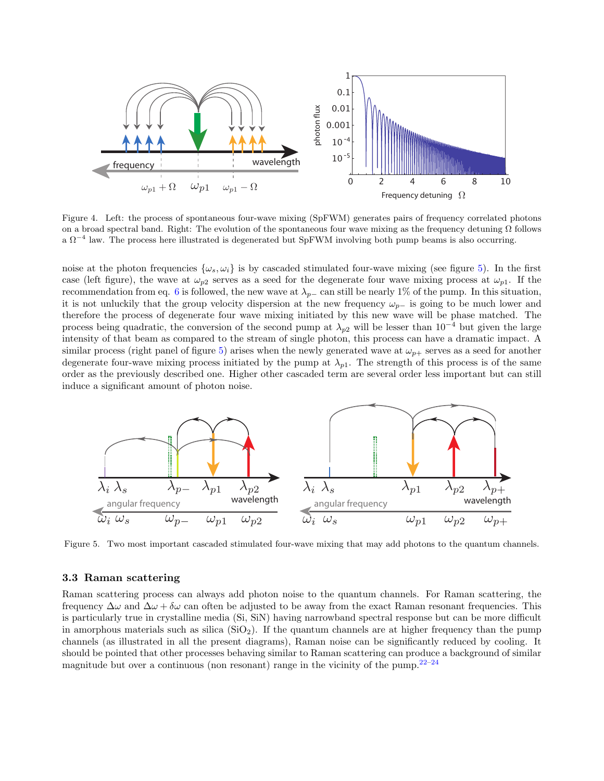

<span id="page-4-0"></span>Figure 4. Left: the process of spontaneous four-wave mixing (SpFWM) generates pairs of frequency correlated photons on a broad spectral band. Right: The evolution of the spontaneous four wave mixing as the frequency detuning  $\Omega$  follows a  $\Omega^{-4}$  law. The process here illustrated is degenerated but SpFWM involving both pump beams is also occurring.

noise at the photon frequencies  $\{\omega_s, \omega_i\}$  is by cascaded stimulated four-wave mixing (see figure [5\)](#page-4-1). In the first case (left figure), the wave at  $\omega_{p2}$  serves as a seed for the degenerate four wave mixing process at  $\omega_{p1}$ . If the recommendation from eq. [6](#page-2-2) is followed, the new wave at  $\lambda_{p-}$  can still be nearly 1% of the pump. In this situation, it is not unluckily that the group velocity dispersion at the new frequency  $\omega_{p-}$  is going to be much lower and therefore the process of degenerate four wave mixing initiated by this new wave will be phase matched. The process being quadratic, the conversion of the second pump at  $\lambda_{p2}$  will be lesser than 10<sup>-4</sup> but given the large intensity of that beam as compared to the stream of single photon, this process can have a dramatic impact. A similar process (right panel of figure [5\)](#page-4-1) arises when the newly generated wave at  $\omega_{p+}$  serves as a seed for another degenerate four-wave mixing process initiated by the pump at  $\lambda_{p1}$ . The strength of this process is of the same order as the previously described one. Higher other cascaded term are several order less important but can still induce a significant amount of photon noise.



<span id="page-4-1"></span>Figure 5. Two most important cascaded stimulated four-wave mixing that may add photons to the quantum channels.

## 3.3 Raman scattering

Raman scattering process can always add photon noise to the quantum channels. For Raman scattering, the frequency  $\Delta\omega$  and  $\Delta\omega + \delta\omega$  can often be adjusted to be away from the exact Raman resonant frequencies. This is particularly true in crystalline media (Si, SiN) having narrowband spectral response but can be more difficult in amorphous materials such as silica  $(SiO<sub>2</sub>)$ . If the quantum channels are at higher frequency than the pump channels (as illustrated in all the present diagrams), Raman noise can be significantly reduced by cooling. It should be pointed that other processes behaving similar to Raman scattering can produce a background of similar magnitude but over a continuous (non resonant) range in the vicinity of the pump. $22-24$  $22-24$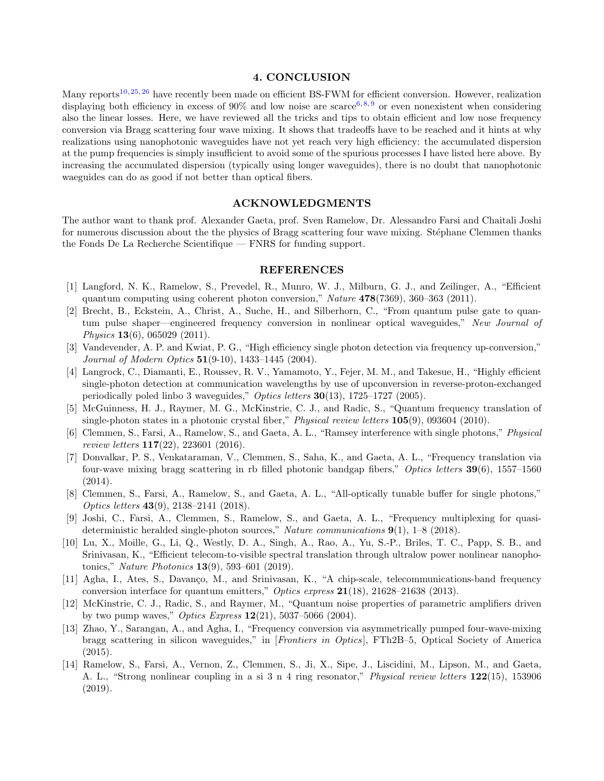# 4. CONCLUSION

Many reports<sup>[10,](#page-5-7) [25,](#page-6-9) [26](#page-6-10)</sup> have recently been made on efficient BS-FWM for efficient conversion. However, realization displaying both efficiency in excess of 90% and low noise are scarce<sup>[6,](#page-5-5)[8,](#page-5-12)[9](#page-5-6)</sup> or even nonexistent when considering also the linear losses. Here, we have reviewed all the tricks and tips to obtain efficient and low nose frequency conversion via Bragg scattering four wave mixing. It shows that tradeoffs have to be reached and it hints at why realizations using nanophotonic waveguides have not yet reach very high efficiency: the accumulated dispersion at the pump frequencies is simply insufficient to avoid some of the spurious processes I have listed here above. By increasing the accumulated dispersion (typically using longer waveguides), there is no doubt that nanophotonic waeguides can do as good if not better than optical fibers.

# ACKNOWLEDGMENTS

The author want to thank prof. Alexander Gaeta, prof. Sven Ramelow, Dr. Alessandro Farsi and Chaitali Joshi for numerous discussion about the the physics of Bragg scattering four wave mixing. Stéphane Clemmen thanks the Fonds De La Recherche Scientifique — FNRS for funding support.

## REFERENCES

- <span id="page-5-0"></span>[1] Langford, N. K., Ramelow, S., Prevedel, R., Munro, W. J., Milburn, G. J., and Zeilinger, A., "Efficient quantum computing using coherent photon conversion," Nature 478(7369), 360–363 (2011).
- <span id="page-5-1"></span>[2] Brecht, B., Eckstein, A., Christ, A., Suche, H., and Silberhorn, C., "From quantum pulse gate to quantum pulse shaper—engineered frequency conversion in nonlinear optical waveguides," New Journal of Physics 13(6), 065029 (2011).
- <span id="page-5-2"></span>[3] Vandevender, A. P. and Kwiat, P. G., "High efficiency single photon detection via frequency up-conversion," Journal of Modern Optics 51(9-10), 1433–1445 (2004).
- <span id="page-5-3"></span>[4] Langrock, C., Diamanti, E., Roussev, R. V., Yamamoto, Y., Fejer, M. M., and Takesue, H., "Highly efficient single-photon detection at communication wavelengths by use of upconversion in reverse-proton-exchanged periodically poled linbo 3 waveguides," Optics letters 30(13), 1725-1727 (2005).
- <span id="page-5-4"></span>[5] McGuinness, H. J., Raymer, M. G., McKinstrie, C. J., and Radic, S., "Quantum frequency translation of single-photon states in a photonic crystal fiber," Physical review letters **105**(9), 093604 (2010).
- <span id="page-5-5"></span>[6] Clemmen, S., Farsi, A., Ramelow, S., and Gaeta, A. L., "Ramsey interference with single photons," Physical review letters 117(22), 223601 (2016).
- [7] Donvalkar, P. S., Venkataraman, V., Clemmen, S., Saha, K., and Gaeta, A. L., "Frequency translation via four-wave mixing bragg scattering in rb filled photonic bandgap fibers," Optics letters 39(6), 1557–1560 (2014).
- <span id="page-5-12"></span>[8] Clemmen, S., Farsi, A., Ramelow, S., and Gaeta, A. L., "All-optically tunable buffer for single photons," Optics letters 43(9), 2138–2141 (2018).
- <span id="page-5-6"></span>[9] Joshi, C., Farsi, A., Clemmen, S., Ramelow, S., and Gaeta, A. L., "Frequency multiplexing for quasideterministic heralded single-photon sources," Nature communications 9(1), 1–8 (2018).
- <span id="page-5-7"></span>[10] Lu, X., Moille, G., Li, Q., Westly, D. A., Singh, A., Rao, A., Yu, S.-P., Briles, T. C., Papp, S. B., and Srinivasan, K., "Efficient telecom-to-visible spectral translation through ultralow power nonlinear nanophotonics," Nature Photonics 13(9), 593–601 (2019).
- <span id="page-5-8"></span>[11] Agha, I., Ates, S., Davanço, M., and Srinivasan, K., "A chip-scale, telecommunications-band frequency conversion interface for quantum emitters," Optics express  $21(18)$ , 21628–21638 (2013).
- <span id="page-5-9"></span>[12] McKinstrie, C. J., Radic, S., and Raymer, M., "Quantum noise properties of parametric amplifiers driven by two pump waves," *Optics Express*  $12(21)$ , 5037–5066 (2004).
- <span id="page-5-10"></span>[13] Zhao, Y., Sarangan, A., and Agha, I., "Frequency conversion via asymmetrically pumped four-wave-mixing bragg scattering in silicon waveguides," in [Frontiers in Optics], FTh2B–5, Optical Society of America (2015).
- <span id="page-5-11"></span>[14] Ramelow, S., Farsi, A., Vernon, Z., Clemmen, S., Ji, X., Sipe, J., Liscidini, M., Lipson, M., and Gaeta, A. L., "Strong nonlinear coupling in a si 3 n 4 ring resonator," Physical review letters 122(15), 153906 (2019).